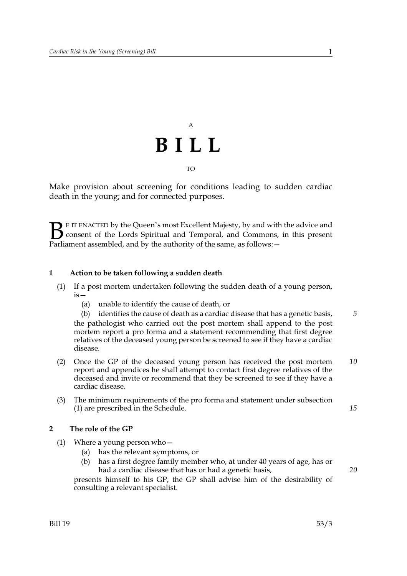# $\overline{A}$ BILL

**TO** 

Make provision about screening for conditions leading to sudden cardiac death in the young; and for connected purposes.

 $\bullet$  E IT ENACTED by the Queen's most Excellent Majesty, by and with the advice and consent of the Lords Spiritual and Temporal, and Commons, in this present Parliament assembled, and by the authority of the same, as follows: -

## $\mathbf{1}$ Action to be taken following a sudden death

- $(1)$ If a post mortem undertaken following the sudden death of a young person,  $is -$ 
	- (a) unable to identify the cause of death, or

5 (b) identifies the cause of death as a cardiac disease that has a genetic basis, the pathologist who carried out the post mortem shall append to the post mortem report a pro forma and a statement recommending that first degree relatives of the deceased young person be screened to see if they have a cardiac disease.

- 10 (2) Once the GP of the deceased young person has received the post mortem report and appendices he shall attempt to contact first degree relatives of the deceased and invite or recommend that they be screened to see if they have a cardiac disease.
- The minimum requirements of the pro forma and statement under subsection  $(3)$ (1) are prescribed in the Schedule.

### $\overline{2}$ The role of the GP

- $(1)$  Where a young person who
	- (a) has the relevant symptoms, or
	- has a first degree family member who, at under 40 years of age, has or  $(b)$ had a cardiac disease that has or had a genetic basis,

presents himself to his GP, the GP shall advise him of the desirability of consulting a relevant specialist.

15

20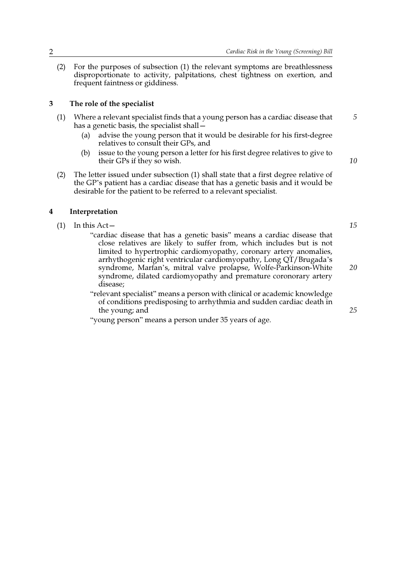(2) For the purposes of subsection (1) the relevant symptoms are breathlessness disproportionate to activity, palpitations, chest tightness on exertion, and frequent faintness or giddiness.

### 3 The role of the specialist

- Where a relevant specialist finds that a young person has a cardiac disease that  $(1)$ has a genetic basis, the specialist shall –
	- advise the young person that it would be desirable for his first-degree  $(a)$ relatives to consult their GPs, and
	- issue to the young person a letter for his first degree relatives to give to  $(b)$ their GPs if they so wish.
- $(2)$ The letter issued under subsection (1) shall state that a first degree relative of the GP's patient has a cardiac disease that has a genetic basis and it would be desirable for the patient to be referred to a relevant specialist.

### $\overline{\mathbf{4}}$ Interpretation

- $(1)$  In this Act
	- "cardiac disease that has a genetic basis" means a cardiac disease that close relatives are likely to suffer from, which includes but is not limited to hypertrophic cardiomyopathy, coronary artery anomalies, arrhythogenic right ventricular cardiomyopathy, Long QT/Brugada's syndrome, Marfan's, mitral valve prolapse, Wolfe-Parkinson-White syndrome, dilated cardiomyopathy and premature coronorary artery disease:
	- "relevant specialist" means a person with clinical or academic knowledge of conditions predisposing to arrhythmia and sudden cardiac death in the young; and

"young person" means a person under 35 years of age.

15

10

5

20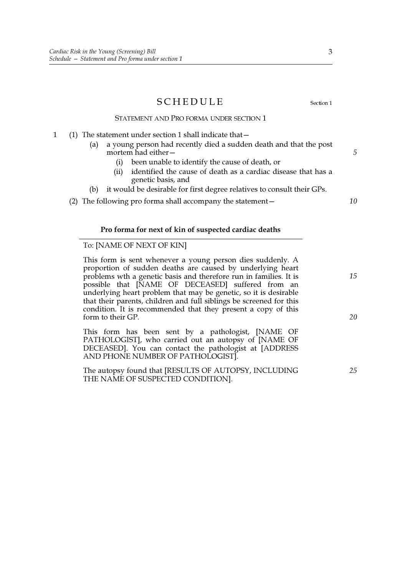$\mathbf{1}$ 

|                           | SCHEDULE<br>Section 1                                                                                                                                                                                                                                                                                                                                                                                                                                                               |          |
|---------------------------|-------------------------------------------------------------------------------------------------------------------------------------------------------------------------------------------------------------------------------------------------------------------------------------------------------------------------------------------------------------------------------------------------------------------------------------------------------------------------------------|----------|
|                           | STATEMENT AND PRO FORMA UNDER SECTION 1                                                                                                                                                                                                                                                                                                                                                                                                                                             |          |
|                           | (1) The statement under section 1 shall indicate that $-$<br>a young person had recently died a sudden death and that the post<br>(a)<br>mortem had either-<br>been unable to identify the cause of death, or<br>(i)<br>identified the cause of death as a cardiac disease that has a<br>(ii)<br>genetic basis, and<br>it would be desirable for first degree relatives to consult their GPs.<br>(b)<br>(2) The following pro forma shall accompany the statement -                 | 5<br>10  |
|                           |                                                                                                                                                                                                                                                                                                                                                                                                                                                                                     |          |
|                           | Pro forma for next of kin of suspected cardiac deaths                                                                                                                                                                                                                                                                                                                                                                                                                               |          |
| To: [NAME OF NEXT OF KIN] |                                                                                                                                                                                                                                                                                                                                                                                                                                                                                     |          |
|                           | This form is sent whenever a young person dies suddenly. A<br>proportion of sudden deaths are caused by underlying heart<br>problems wth a genetic basis and therefore run in families. It is<br>possible that [NAME OF DECEASED] suffered from an<br>underlying heart problem that may be genetic, so it is desirable<br>that their parents, children and full siblings be screened for this<br>condition. It is recommended that they present a copy of this<br>form to their GP. | 15<br>20 |
|                           | This form has been sent by a pathologist, [NAME OF<br>PATHOLOGIST], who carried out an autopsy of [NAME OF<br>DECEASED]. You can contact the pathologist at [ADDRESS<br>AND PHONE NUMBER OF PATHOLOGIST].                                                                                                                                                                                                                                                                           |          |
|                           | The autopsy found that [RESULTS OF AUTOPSY, INCLUDING<br>THE NAME OF SUSPECTED CONDITION].                                                                                                                                                                                                                                                                                                                                                                                          | 25       |